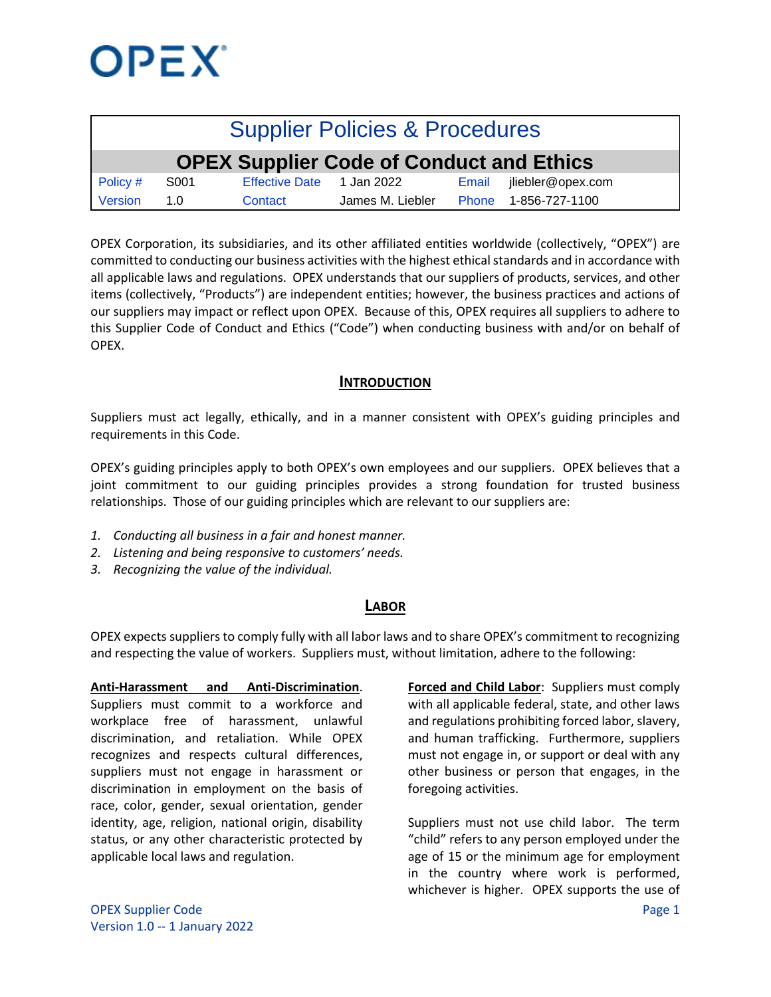

| <b>Supplier Policies &amp; Procedures</b>       |      |                           |                  |  |                         |  |  |  |  |
|-------------------------------------------------|------|---------------------------|------------------|--|-------------------------|--|--|--|--|
| <b>OPEX Supplier Code of Conduct and Ethics</b> |      |                           |                  |  |                         |  |  |  |  |
| Policy #                                        | S001 | Effective Date 1 Jan 2022 |                  |  | Email jliebler@opex.com |  |  |  |  |
| Version                                         | 1.0  | Contact                   | James M. Liebler |  | Phone 1-856-727-1100    |  |  |  |  |

OPEX Corporation, its subsidiaries, and its other affiliated entities worldwide (collectively, "OPEX") are committed to conducting our business activities with the highest ethical standards and in accordance with all applicable laws and regulations. OPEX understands that our suppliers of products, services, and other items (collectively, "Products") are independent entities; however, the business practices and actions of our suppliers may impact or reflect upon OPEX. Because of this, OPEX requires all suppliers to adhere to this Supplier Code of Conduct and Ethics ("Code") when conducting business with and/or on behalf of OPEX.

### **INTRODUCTION**

Suppliers must act legally, ethically, and in a manner consistent with OPEX's guiding principles and requirements in this Code.

OPEX's guiding principles apply to both OPEX's own employees and our suppliers. OPEX believes that a joint commitment to our guiding principles provides a strong foundation for trusted business relationships. Those of our guiding principles which are relevant to our suppliers are:

- *1. Conducting all business in a fair and honest manner.*
- *2. Listening and being responsive to customers' needs.*
- *3. Recognizing the value of the individual.*

### **LABOR**

OPEX expects suppliers to comply fully with all labor laws and to share OPEX's commitment to recognizing and respecting the value of workers. Suppliers must, without limitation, adhere to the following:

**Anti-Harassment and Anti-Discrimination**. Suppliers must commit to a workforce and workplace free of harassment, unlawful discrimination, and retaliation. While OPEX recognizes and respects cultural differences, suppliers must not engage in harassment or discrimination in employment on the basis of race, color, gender, sexual orientation, gender identity, age, religion, national origin, disability status, or any other characteristic protected by applicable local laws and regulation.

**Forced and Child Labor**: Suppliers must comply with all applicable federal, state, and other laws and regulations prohibiting forced labor, slavery, and human trafficking. Furthermore, suppliers must not engage in, or support or deal with any other business or person that engages, in the foregoing activities.

Suppliers must not use child labor. The term "child" refers to any person employed under the age of 15 or the minimum age for employment in the country where work is performed, whichever is higher. OPEX supports the use of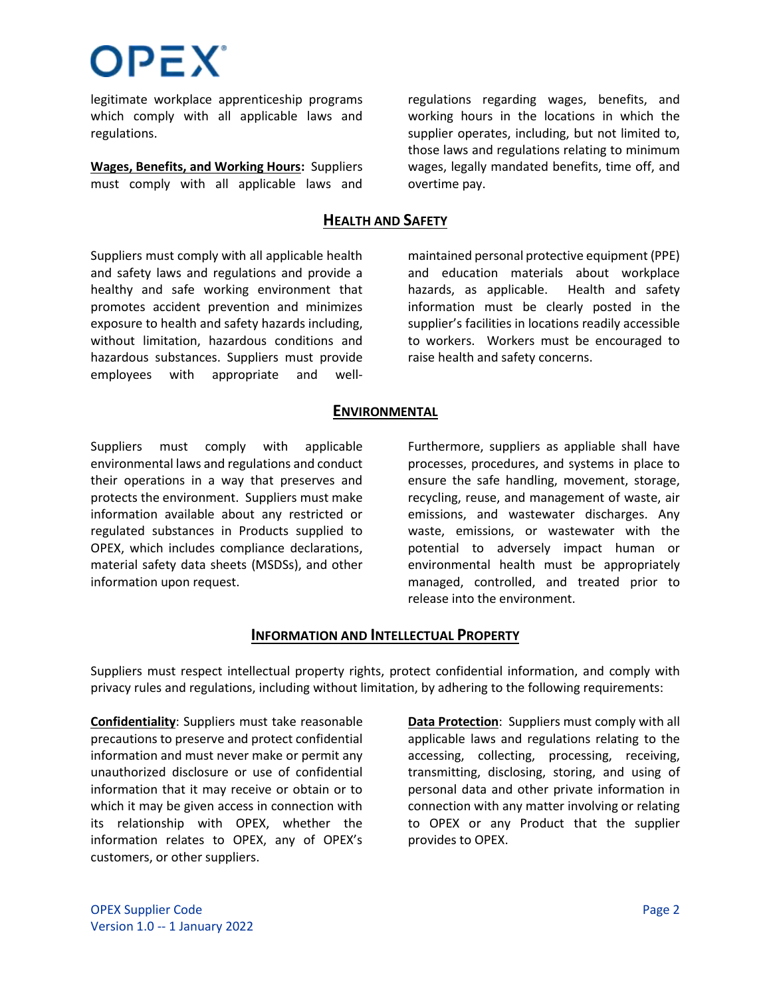legitimate workplace apprenticeship programs which comply with all applicable laws and regulations.

OPEX'

**Wages, Benefits, and Working Hours:** Suppliers must comply with all applicable laws and regulations regarding wages, benefits, and working hours in the locations in which the supplier operates, including, but not limited to, those laws and regulations relating to minimum wages, legally mandated benefits, time off, and overtime pay.

### **HEALTH AND SAFETY**

Suppliers must comply with all applicable health and safety laws and regulations and provide a healthy and safe working environment that promotes accident prevention and minimizes exposure to health and safety hazards including, without limitation, hazardous conditions and hazardous substances. Suppliers must provide employees with appropriate and wellmaintained personal protective equipment (PPE) and education materials about workplace hazards, as applicable. Health and safety information must be clearly posted in the supplier's facilities in locations readily accessible to workers. Workers must be encouraged to raise health and safety concerns.

#### **ENVIRONMENTAL**

Suppliers must comply with applicable environmental laws and regulations and conduct their operations in a way that preserves and protects the environment. Suppliers must make information available about any restricted or regulated substances in Products supplied to OPEX, which includes compliance declarations, material safety data sheets (MSDSs), and other information upon request.

Furthermore, suppliers as appliable shall have processes, procedures, and systems in place to ensure the safe handling, movement, storage, recycling, reuse, and management of waste, air emissions, and wastewater discharges. Any waste, emissions, or wastewater with the potential to adversely impact human or environmental health must be appropriately managed, controlled, and treated prior to release into the environment.

### **INFORMATION AND INTELLECTUAL PROPERTY**

Suppliers must respect intellectual property rights, protect confidential information, and comply with privacy rules and regulations, including without limitation, by adhering to the following requirements:

**Confidentiality**: Suppliers must take reasonable precautions to preserve and protect confidential information and must never make or permit any unauthorized disclosure or use of confidential information that it may receive or obtain or to which it may be given access in connection with its relationship with OPEX, whether the information relates to OPEX, any of OPEX's customers, or other suppliers.

**Data Protection**: Suppliers must comply with all applicable laws and regulations relating to the accessing, collecting, processing, receiving, transmitting, disclosing, storing, and using of personal data and other private information in connection with any matter involving or relating to OPEX or any Product that the supplier provides to OPEX.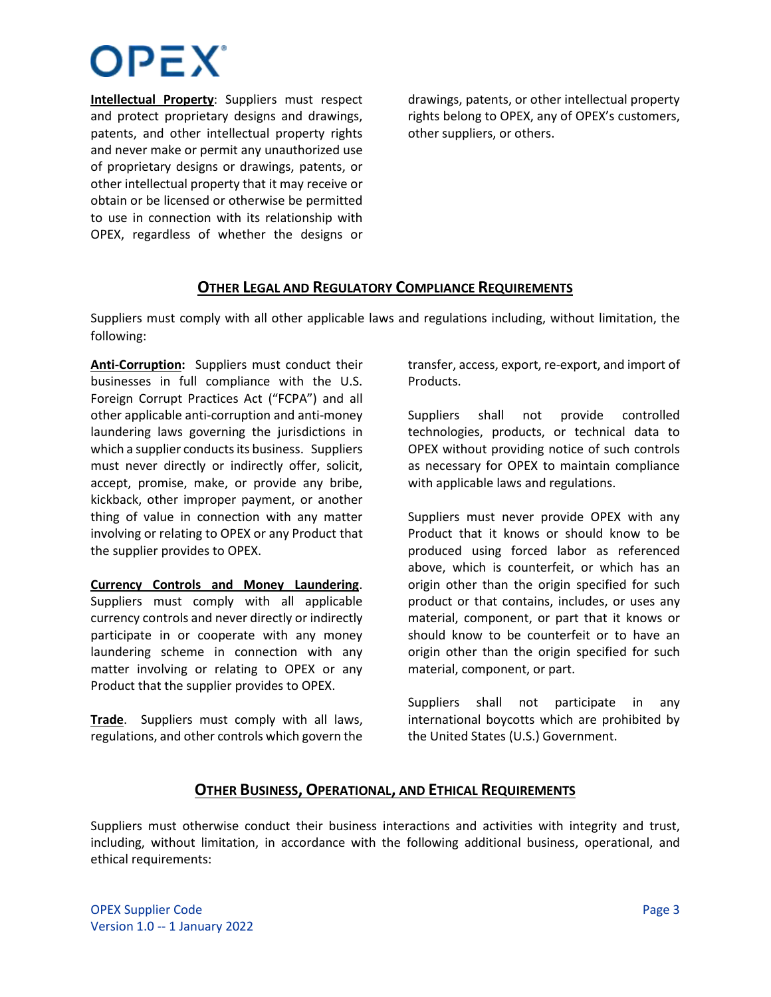# **OPEX**

**Intellectual Property**: Suppliers must respect and protect proprietary designs and drawings, patents, and other intellectual property rights and never make or permit any unauthorized use of proprietary designs or drawings, patents, or other intellectual property that it may receive or obtain or be licensed or otherwise be permitted to use in connection with its relationship with OPEX, regardless of whether the designs or

drawings, patents, or other intellectual property rights belong to OPEX, any of OPEX's customers, other suppliers, or others.

## **OTHER LEGAL AND REGULATORY COMPLIANCE REQUIREMENTS**

Suppliers must comply with all other applicable laws and regulations including, without limitation, the following:

**Anti-Corruption:** Suppliers must conduct their businesses in full compliance with the U.S. Foreign Corrupt Practices Act ("FCPA") and all other applicable anti-corruption and anti-money laundering laws governing the jurisdictions in which a supplier conducts its business. Suppliers must never directly or indirectly offer, solicit, accept, promise, make, or provide any bribe, kickback, other improper payment, or another thing of value in connection with any matter involving or relating to OPEX or any Product that the supplier provides to OPEX.

**Currency Controls and Money Laundering**. Suppliers must comply with all applicable currency controls and never directly or indirectly participate in or cooperate with any money laundering scheme in connection with any matter involving or relating to OPEX or any Product that the supplier provides to OPEX.

**Trade**. Suppliers must comply with all laws, regulations, and other controls which govern the

transfer, access, export, re-export, and import of Products.

Suppliers shall not provide controlled technologies, products, or technical data to OPEX without providing notice of such controls as necessary for OPEX to maintain compliance with applicable laws and regulations.

Suppliers must never provide OPEX with any Product that it knows or should know to be produced using forced labor as referenced above, which is counterfeit, or which has an origin other than the origin specified for such product or that contains, includes, or uses any material, component, or part that it knows or should know to be counterfeit or to have an origin other than the origin specified for such material, component, or part.

Suppliers shall not participate in any international boycotts which are prohibited by the United States (U.S.) Government.

### **OTHER BUSINESS, OPERATIONAL, AND ETHICAL REQUIREMENTS**

Suppliers must otherwise conduct their business interactions and activities with integrity and trust, including, without limitation, in accordance with the following additional business, operational, and ethical requirements: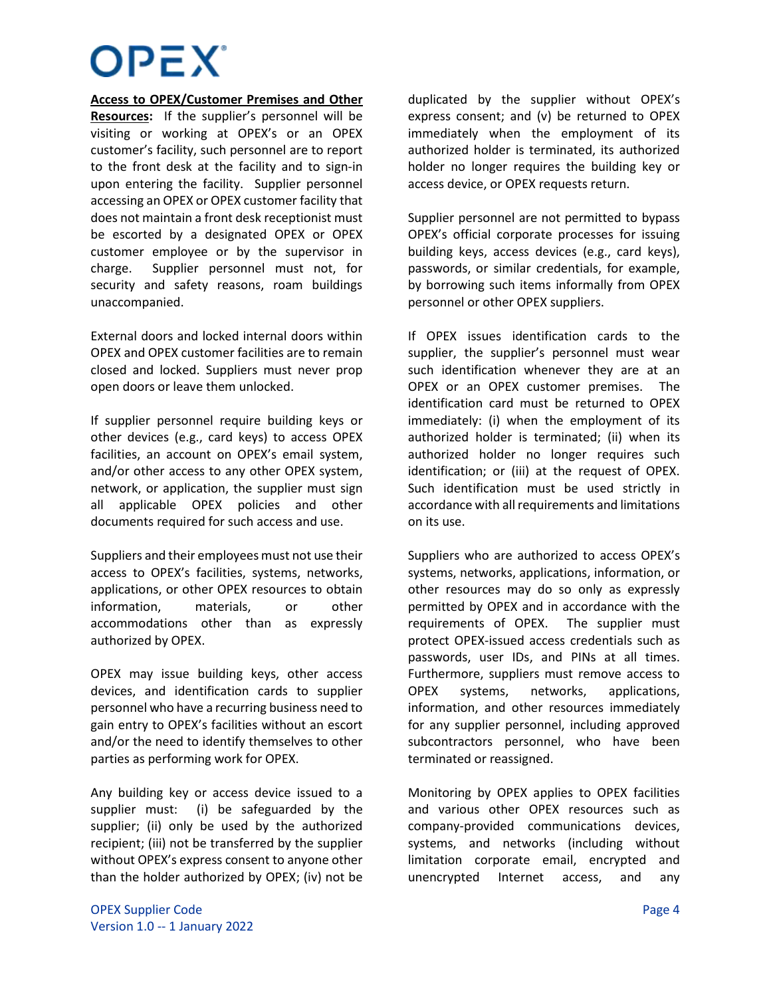# **OPEX**

**Access to OPEX/Customer Premises and Other Resources:** If the supplier's personnel will be visiting or working at OPEX's or an OPEX customer's facility, such personnel are to report to the front desk at the facility and to sign-in upon entering the facility. Supplier personnel accessing an OPEX or OPEX customer facility that does not maintain a front desk receptionist must be escorted by a designated OPEX or OPEX customer employee or by the supervisor in charge. Supplier personnel must not, for security and safety reasons, roam buildings unaccompanied.

External doors and locked internal doors within OPEX and OPEX customer facilities are to remain closed and locked. Suppliers must never prop open doors or leave them unlocked.

If supplier personnel require building keys or other devices (e.g., card keys) to access OPEX facilities, an account on OPEX's email system, and/or other access to any other OPEX system, network, or application, the supplier must sign all applicable OPEX policies and other documents required for such access and use.

Suppliers and their employees must not use their access to OPEX's facilities, systems, networks, applications, or other OPEX resources to obtain information, materials, or other accommodations other than as expressly authorized by OPEX.

OPEX may issue building keys, other access devices, and identification cards to supplier personnel who have a recurring business need to gain entry to OPEX's facilities without an escort and/or the need to identify themselves to other parties as performing work for OPEX.

Any building key or access device issued to a supplier must: (i) be safeguarded by the supplier; (ii) only be used by the authorized recipient; (iii) not be transferred by the supplier without OPEX's express consent to anyone other than the holder authorized by OPEX; (iv) not be

duplicated by the supplier without OPEX's express consent; and (v) be returned to OPEX immediately when the employment of its authorized holder is terminated, its authorized holder no longer requires the building key or access device, or OPEX requests return.

Supplier personnel are not permitted to bypass OPEX's official corporate processes for issuing building keys, access devices (e.g., card keys), passwords, or similar credentials, for example, by borrowing such items informally from OPEX personnel or other OPEX suppliers.

If OPEX issues identification cards to the supplier, the supplier's personnel must wear such identification whenever they are at an OPEX or an OPEX customer premises. The identification card must be returned to OPEX immediately: (i) when the employment of its authorized holder is terminated; (ii) when its authorized holder no longer requires such identification; or (iii) at the request of OPEX. Such identification must be used strictly in accordance with all requirements and limitations on its use.

Suppliers who are authorized to access OPEX's systems, networks, applications, information, or other resources may do so only as expressly permitted by OPEX and in accordance with the requirements of OPEX. The supplier must protect OPEX-issued access credentials such as passwords, user IDs, and PINs at all times. Furthermore, suppliers must remove access to OPEX systems, networks, applications, information, and other resources immediately for any supplier personnel, including approved subcontractors personnel, who have been terminated or reassigned.

Monitoring by OPEX applies to OPEX facilities and various other OPEX resources such as company-provided communications devices, systems, and networks (including without limitation corporate email, encrypted and unencrypted Internet access, and any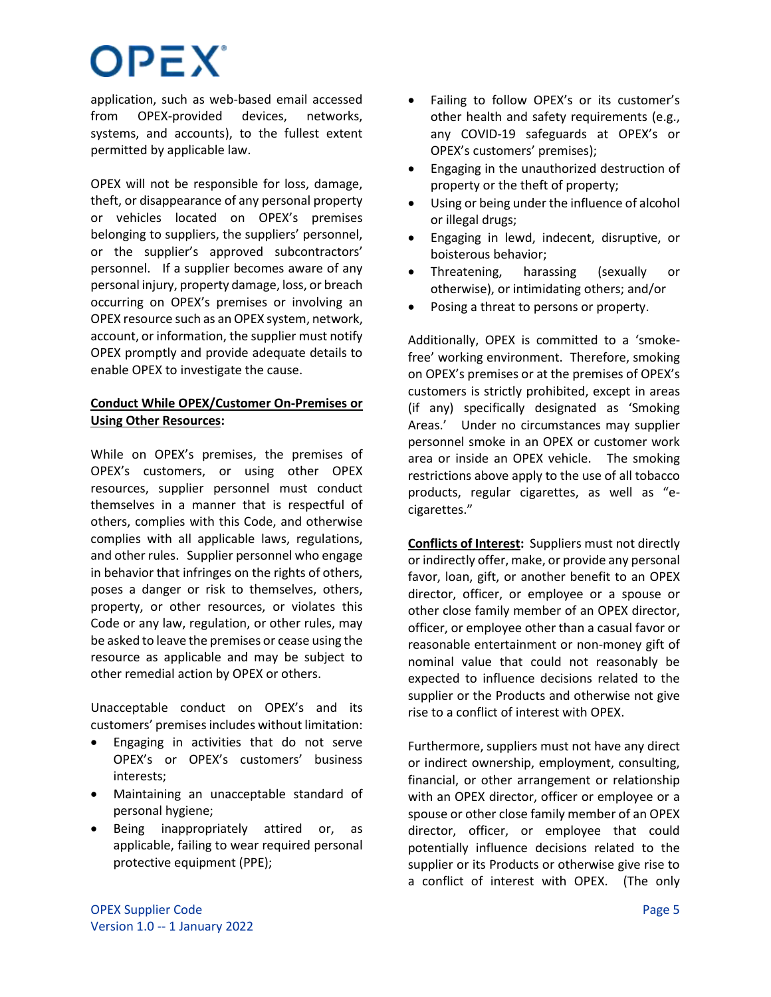# **OPEX**

application, such as web-based email accessed from OPEX-provided devices, networks, systems, and accounts), to the fullest extent permitted by applicable law.

OPEX will not be responsible for loss, damage, theft, or disappearance of any personal property or vehicles located on OPEX's premises belonging to suppliers, the suppliers' personnel, or the supplier's approved subcontractors' personnel. If a supplier becomes aware of any personal injury, property damage, loss, or breach occurring on OPEX's premises or involving an OPEX resource such as an OPEX system, network, account, or information, the supplier must notify OPEX promptly and provide adequate details to enable OPEX to investigate the cause.

### **Conduct While OPEX/Customer On-Premises or Using Other Resources:**

While on OPEX's premises, the premises of OPEX's customers, or using other OPEX resources, supplier personnel must conduct themselves in a manner that is respectful of others, complies with this Code, and otherwise complies with all applicable laws, regulations, and other rules. Supplier personnel who engage in behavior that infringes on the rights of others, poses a danger or risk to themselves, others, property, or other resources, or violates this Code or any law, regulation, or other rules, may be asked to leave the premises or cease using the resource as applicable and may be subject to other remedial action by OPEX or others.

Unacceptable conduct on OPEX's and its customers' premises includes without limitation:

- Engaging in activities that do not serve OPEX's or OPEX's customers' business interests;
- Maintaining an unacceptable standard of personal hygiene;
- Being inappropriately attired or, as applicable, failing to wear required personal protective equipment (PPE);
- Failing to follow OPEX's or its customer's other health and safety requirements (e.g., any COVID-19 safeguards at OPEX's or OPEX's customers' premises);
- Engaging in the unauthorized destruction of property or the theft of property;
- Using or being under the influence of alcohol or illegal drugs;
- Engaging in lewd, indecent, disruptive, or boisterous behavior;
- Threatening, harassing (sexually or otherwise), or intimidating others; and/or
- Posing a threat to persons or property.

Additionally, OPEX is committed to a 'smokefree' working environment. Therefore, smoking on OPEX's premises or at the premises of OPEX's customers is strictly prohibited, except in areas (if any) specifically designated as 'Smoking Areas.' Under no circumstances may supplier personnel smoke in an OPEX or customer work area or inside an OPEX vehicle. The smoking restrictions above apply to the use of all tobacco products, regular cigarettes, as well as "ecigarettes."

**Conflicts of Interest:** Suppliers must not directly or indirectly offer, make, or provide any personal favor, loan, gift, or another benefit to an OPEX director, officer, or employee or a spouse or other close family member of an OPEX director, officer, or employee other than a casual favor or reasonable entertainment or non-money gift of nominal value that could not reasonably be expected to influence decisions related to the supplier or the Products and otherwise not give rise to a conflict of interest with OPEX.

Furthermore, suppliers must not have any direct or indirect ownership, employment, consulting, financial, or other arrangement or relationship with an OPEX director, officer or employee or a spouse or other close family member of an OPEX director, officer, or employee that could potentially influence decisions related to the supplier or its Products or otherwise give rise to a conflict of interest with OPEX. (The only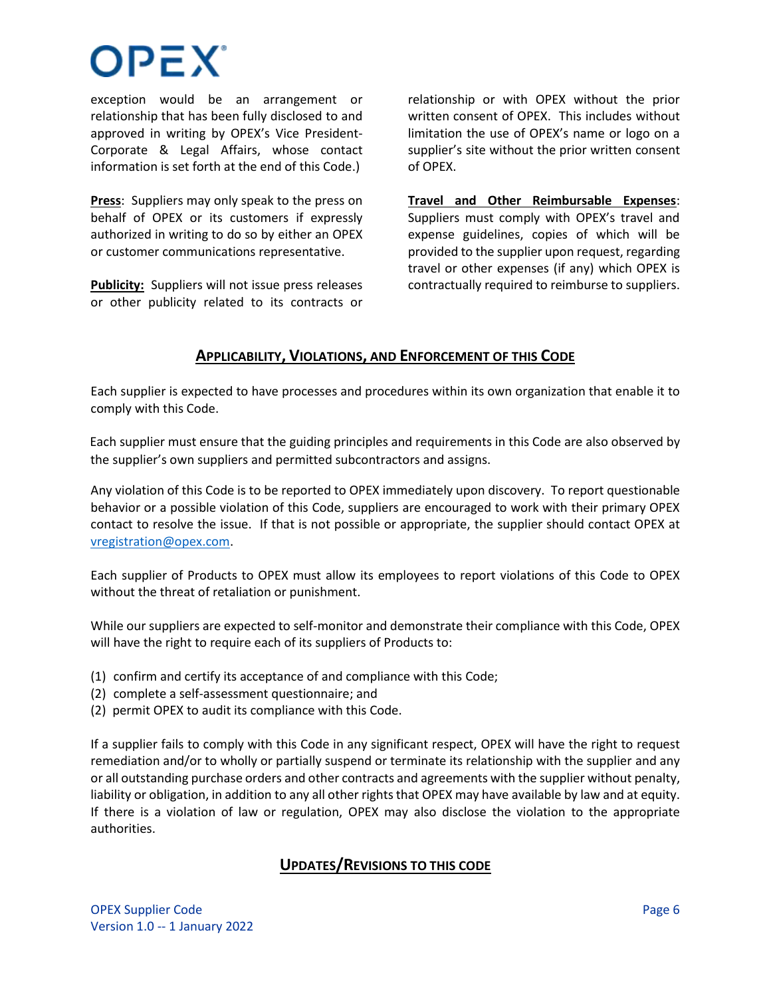# **DPEX**

exception would be an arrangement or relationship that has been fully disclosed to and approved in writing by OPEX's Vice President-Corporate & Legal Affairs, whose contact information is set forth at the end of this Code.)

**Press**: Suppliers may only speak to the press on behalf of OPEX or its customers if expressly authorized in writing to do so by either an OPEX or customer communications representative.

**Publicity:** Suppliers will not issue press releases or other publicity related to its contracts or

relationship or with OPEX without the prior written consent of OPEX. This includes without limitation the use of OPEX's name or logo on a supplier's site without the prior written consent of OPEX.

**Travel and Other Reimbursable Expenses**: Suppliers must comply with OPEX's travel and expense guidelines, copies of which will be provided to the supplier upon request, regarding travel or other expenses (if any) which OPEX is contractually required to reimburse to suppliers.

### **APPLICABILITY, VIOLATIONS, AND ENFORCEMENT OF THIS CODE**

Each supplier is expected to have processes and procedures within its own organization that enable it to comply with this Code.

Each supplier must ensure that the guiding principles and requirements in this Code are also observed by the supplier's own suppliers and permitted subcontractors and assigns.

Any violation of this Code is to be reported to OPEX immediately upon discovery. To report questionable behavior or a possible violation of this Code, suppliers are encouraged to work with their primary OPEX contact to resolve the issue. If that is not possible or appropriate, the supplier should contact OPEX at [vregistration@opex.com.](mailto:vregistration@opex.com)

Each supplier of Products to OPEX must allow its employees to report violations of this Code to OPEX without the threat of retaliation or punishment.

While our suppliers are expected to self-monitor and demonstrate their compliance with this Code, OPEX will have the right to require each of its suppliers of Products to:

- (1) confirm and certify its acceptance of and compliance with this Code;
- (2) complete a self-assessment questionnaire; and
- (2) permit OPEX to audit its compliance with this Code.

If a supplier fails to comply with this Code in any significant respect, OPEX will have the right to request remediation and/or to wholly or partially suspend or terminate its relationship with the supplier and any or all outstanding purchase orders and other contracts and agreements with the supplier without penalty, liability or obligation, in addition to any all other rights that OPEX may have available by law and at equity. If there is a violation of law or regulation, OPEX may also disclose the violation to the appropriate authorities.

## **UPDATES/REVISIONS TO THIS CODE**